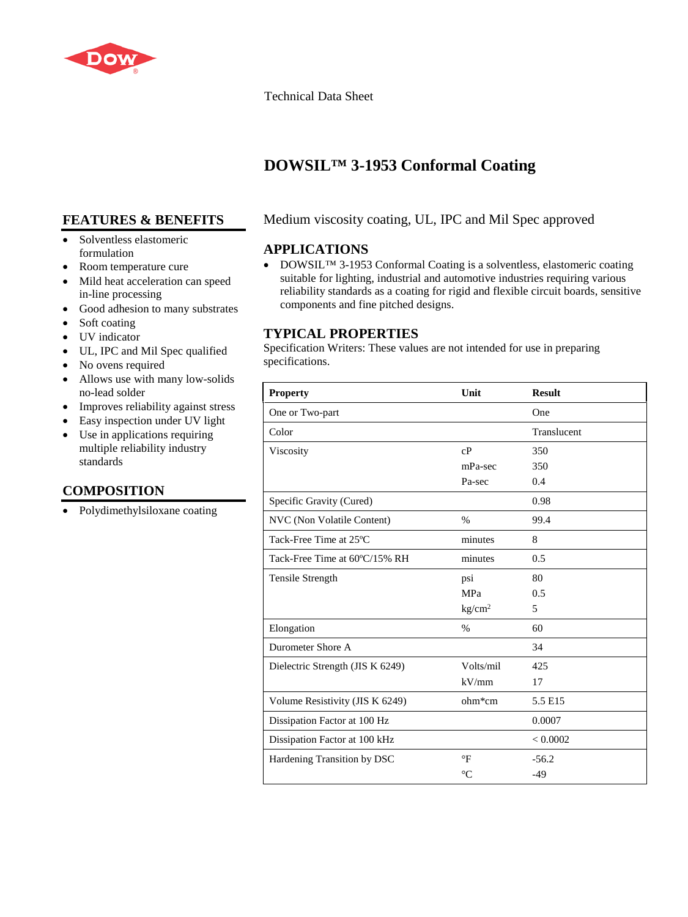

#### Technical Data Sheet

# **DOWSIL™ 3-1953 Conformal Coating**

# **FEATURES & BENEFITS**

- Solventless elastomeric formulation
- Room temperature cure
- Mild heat acceleration can speed in-line processing
- Good adhesion to many substrates
- Soft coating
- UV indicator
- UL, IPC and Mil Spec qualified
- No ovens required
- Allows use with many low-solids no-lead solder
- Improves reliability against stress
- Easy inspection under UV light
- Use in applications requiring multiple reliability industry standards

# **COMPOSITION**

• Polydimethylsiloxane coating

## Medium viscosity coating, UL, IPC and Mil Spec approved

### **APPLICATIONS**

• DOWSIL™ 3-1953 Conformal Coating is a solventless, elastomeric coating suitable for lighting, industrial and automotive industries requiring various reliability standards as a coating for rigid and flexible circuit boards, sensitive components and fine pitched designs.

### **TYPICAL PROPERTIES**

Specification Writers: These values are not intended for use in preparing specifications.

| <b>Property</b>                  | Unit                 | <b>Result</b> |
|----------------------------------|----------------------|---------------|
| One or Two-part                  |                      | One           |
| Color                            |                      | Translucent   |
| Viscosity                        | cP                   | 350           |
|                                  | mPa-sec              | 350           |
|                                  | Pa-sec               | 0.4           |
| Specific Gravity (Cured)         |                      | 0.98          |
| NVC (Non Volatile Content)       | $\%$                 | 99.4          |
| Tack-Free Time at 25°C           | minutes              | 8             |
| Tack-Free Time at 60°C/15% RH    | minutes              | 0.5           |
| Tensile Strength                 | psi                  | 80            |
|                                  | MPa                  | 0.5           |
|                                  | kg/cm <sup>2</sup>   | 5             |
| Elongation                       | %                    | 60            |
| Durometer Shore A                |                      | 34            |
| Dielectric Strength (JIS K 6249) | Volts/mil            | 425           |
|                                  | kV/mm                | 17            |
| Volume Resistivity (JIS K 6249)  | ohm*cm               | 5.5 E15       |
| Dissipation Factor at 100 Hz     |                      | 0.0007        |
| Dissipation Factor at 100 kHz    |                      | < 0.0002      |
| Hardening Transition by DSC      | $\mathrm{^{\circ}F}$ | $-56.2$       |
|                                  | $^{\circ}C$          | $-49$         |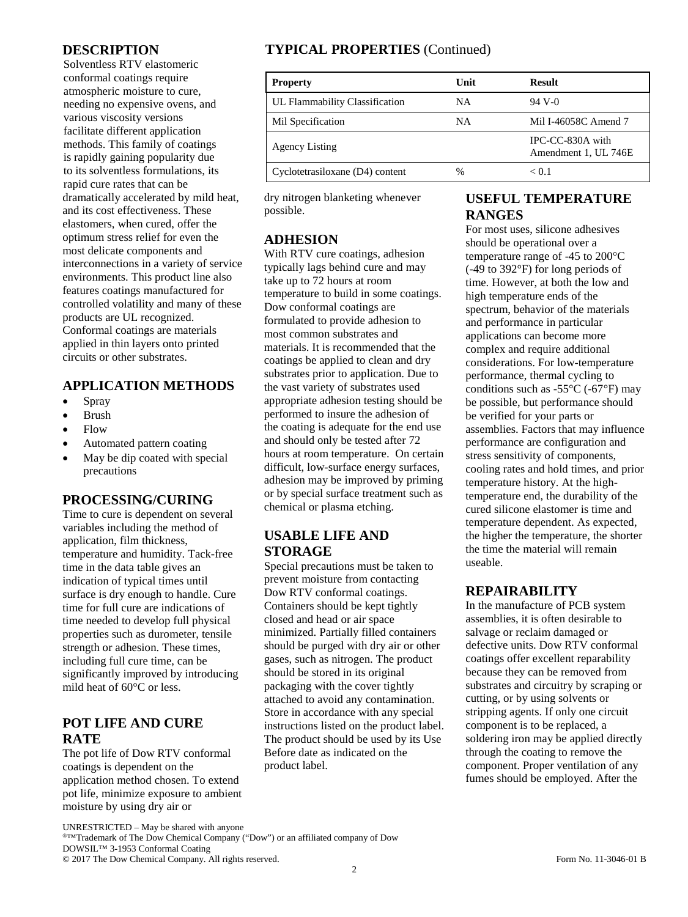#### **DESCRIPTION**

Solventless RTV elastomeric conformal coatings require atmospheric moisture to cure, needing no expensive ovens, and various viscosity versions facilitate different application methods. This family of coatings is rapidly gaining popularity due to its solventless formulations, its rapid cure rates that can be dramatically accelerated by mild heat, and its cost effectiveness. These elastomers, when cured, offer the optimum stress relief for even the most delicate components and interconnections in a variety of service environments. This product line also features coatings manufactured for controlled volatility and many of these products are UL recognized. Conformal coatings are materials applied in thin layers onto printed circuits or other substrates.

#### **APPLICATION METHODS**

- Spray
- Brush
- Flow
- Automated pattern coating
- May be dip coated with special precautions

#### **PROCESSING/CURING**

Time to cure is dependent on several variables including the method of application, film thickness, temperature and humidity. Tack-free time in the data table gives an indication of typical times until surface is dry enough to handle. Cure time for full cure are indications of time needed to develop full physical properties such as durometer, tensile strength or adhesion. These times, including full cure time, can be significantly improved by introducing mild heat of 60°C or less.

### **POT LIFE AND CURE RATE**

The pot life of Dow RTV conformal coatings is dependent on the application method chosen. To extend pot life, minimize exposure to ambient moisture by using dry air or

# **TYPICAL PROPERTIES** (Continued)

| <b>Property</b>                 | Unit | <b>Result</b>                            |
|---------------------------------|------|------------------------------------------|
| UL Flammability Classification  | NА   | 94 V-0                                   |
| Mil Specification               | NА   | Mil I-46058C Amend 7                     |
| <b>Agency Listing</b>           |      | IPC-CC-830A with<br>Amendment 1, UL 746E |
| Cyclotetrasiloxane (D4) content | %    | < 0.1                                    |

dry nitrogen blanketing whenever possible.

#### **ADHESION**

With RTV cure coatings, adhesion typically lags behind cure and may take up to 72 hours at room temperature to build in some coatings. Dow conformal coatings are formulated to provide adhesion to most common substrates and materials. It is recommended that the coatings be applied to clean and dry substrates prior to application. Due to the vast variety of substrates used appropriate adhesion testing should be performed to insure the adhesion of the coating is adequate for the end use and should only be tested after 72 hours at room temperature. On certain difficult, low-surface energy surfaces, adhesion may be improved by priming or by special surface treatment such as chemical or plasma etching.

### **USABLE LIFE AND STORAGE**

Special precautions must be taken to prevent moisture from contacting Dow RTV conformal coatings. Containers should be kept tightly closed and head or air space minimized. Partially filled containers should be purged with dry air or other gases, such as nitrogen. The product should be stored in its original packaging with the cover tightly attached to avoid any contamination. Store in accordance with any special instructions listed on the product label. The product should be used by its Use Before date as indicated on the product label.

### **USEFUL TEMPERATURE RANGES**

For most uses, silicone adhesives should be operational over a temperature range of -45 to 200°C (-49 to 392°F) for long periods of time. However, at both the low and high temperature ends of the spectrum, behavior of the materials and performance in particular applications can become more complex and require additional considerations. For low-temperature performance, thermal cycling to conditions such as  $-55^{\circ}$ C ( $-67^{\circ}$ F) may be possible, but performance should be verified for your parts or assemblies. Factors that may influence performance are configuration and stress sensitivity of components, cooling rates and hold times, and prior temperature history. At the hightemperature end, the durability of the cured silicone elastomer is time and temperature dependent. As expected, the higher the temperature, the shorter the time the material will remain useable.

### **REPAIRABILITY**

In the manufacture of PCB system assemblies, it is often desirable to salvage or reclaim damaged or defective units. Dow RTV conformal coatings offer excellent reparability because they can be removed from substrates and circuitry by scraping or cutting, or by using solvents or stripping agents. If only one circuit component is to be replaced, a soldering iron may be applied directly through the coating to remove the component. Proper ventilation of any fumes should be employed. After the

UNRESTRICTED – May be shared with anyone

®™Trademark of The Dow Chemical Company ("Dow") or an affiliated company of Dow DOWSIL™ 3-1953 Conformal Coating © 2017 The Dow Chemical Company. All rights reserved. Form No. 11-3046-01 B